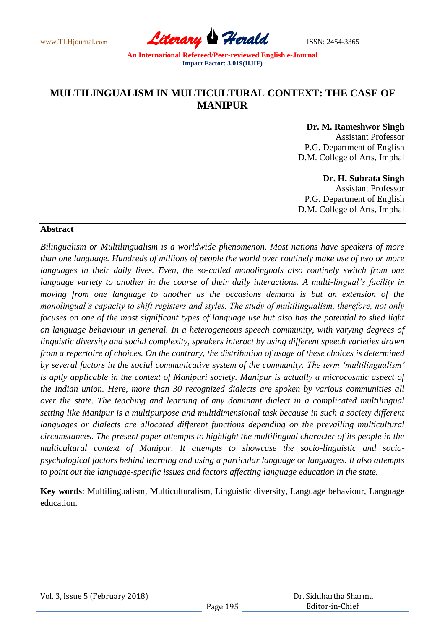www.TLHjournal.com *Literary Herald*ISSN: 2454-3365

# **MULTILINGUALISM IN MULTICULTURAL CONTEXT: THE CASE OF MANIPUR**

**Dr. M. Rameshwor Singh**

Assistant Professor P.G. Department of English D.M. College of Arts, Imphal

## **Dr. H. Subrata Singh**

Assistant Professor P.G. Department of English D.M. College of Arts, Imphal

## **Abstract**

*Bilingualism or Multilingualism is a worldwide phenomenon. Most nations have speakers of more than one language. Hundreds of millions of people the world over routinely make use of two or more*  languages in their daily lives. Even, the so-called monolinguals also routinely switch from one language variety to another in the course of their daily interactions. A multi-lingual's facility in *moving from one language to another as the occasions demand is but an extension of the monolingual's capacity to shift registers and styles. The study of multilingualism, therefore, not only focuses on one of the most significant types of language use but also has the potential to shed light on language behaviour in general. In a heterogeneous speech community, with varying degrees of linguistic diversity and social complexity, speakers interact by using different speech varieties drawn from a repertoire of choices. On the contrary, the distribution of usage of these choices is determined by several factors in the social communicative system of the community. The term 'multilingualism' is aptly applicable in the context of Manipuri society. Manipur is actually a microcosmic aspect of the Indian union. Here, more than 30 recognized dialects are spoken by various communities all over the state. The teaching and learning of any dominant dialect in a complicated multilingual setting like Manipur is a multipurpose and multidimensional task because in such a society different*  languages or dialects are allocated different functions depending on the prevailing multicultural *circumstances. The present paper attempts to highlight the multilingual character of its people in the multicultural context of Manipur. It attempts to showcase the socio-linguistic and sociopsychological factors behind learning and using a particular language or languages. It also attempts to point out the language-specific issues and factors affecting language education in the state.*

**Key words**: Multilingualism, Multiculturalism, Linguistic diversity, Language behaviour, Language education.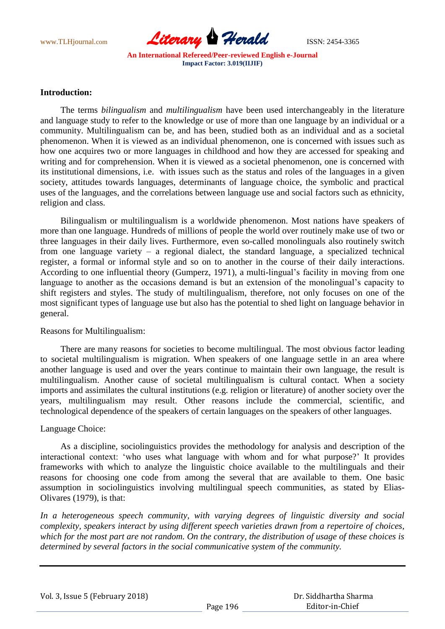

## **Introduction:**

 The terms *bilingualism* and *multilingualism* have been used interchangeably in the literature and language study to refer to the knowledge or use of more than one language by an individual or a community. Multilingualism can be, and has been, studied both as an individual and as a societal phenomenon. When it is viewed as an individual phenomenon, one is concerned with issues such as how one acquires two or more languages in childhood and how they are accessed for speaking and writing and for comprehension. When it is viewed as a societal phenomenon, one is concerned with its institutional dimensions, i.e. with issues such as the status and roles of the languages in a given society, attitudes towards languages, determinants of language choice, the symbolic and practical uses of the languages, and the correlations between language use and social factors such as ethnicity, religion and class.

 Bilingualism or multilingualism is a worldwide phenomenon. Most nations have speakers of more than one language. Hundreds of millions of people the world over routinely make use of two or three languages in their daily lives. Furthermore, even so-called monolinguals also routinely switch from one language variety – a regional dialect, the standard language, a specialized technical register, a formal or informal style and so on to another in the course of their daily interactions. According to one influential theory (Gumperz, 1971), a multi-lingual's facility in moving from one language to another as the occasions demand is but an extension of the monolingual's capacity to shift registers and styles. The study of multilingualism, therefore, not only focuses on one of the most significant types of language use but also has the potential to shed light on language behavior in general.

# Reasons for Multilingualism:

 There are many reasons for societies to become multilingual. The most obvious factor leading to societal multilingualism is migration. When speakers of one language settle in an area where another language is used and over the years continue to maintain their own language, the result is multilingualism. Another cause of societal multilingualism is cultural contact. When a society imports and assimilates the cultural institutions (e.g. religion or literature) of another society over the years, multilingualism may result. Other reasons include the commercial, scientific, and technological dependence of the speakers of certain languages on the speakers of other languages.

# Language Choice:

 As a discipline, sociolinguistics provides the methodology for analysis and description of the interactional context: "who uses what language with whom and for what purpose?" It provides frameworks with which to analyze the linguistic choice available to the multilinguals and their reasons for choosing one code from among the several that are available to them. One basic assumption in sociolinguistics involving multilingual speech communities, as stated by Elias-Olivares (1979), is that:

*In a heterogeneous speech community, with varying degrees of linguistic diversity and social complexity, speakers interact by using different speech varieties drawn from a repertoire of choices, which for the most part are not random. On the contrary, the distribution of usage of these choices is determined by several factors in the social communicative system of the community.*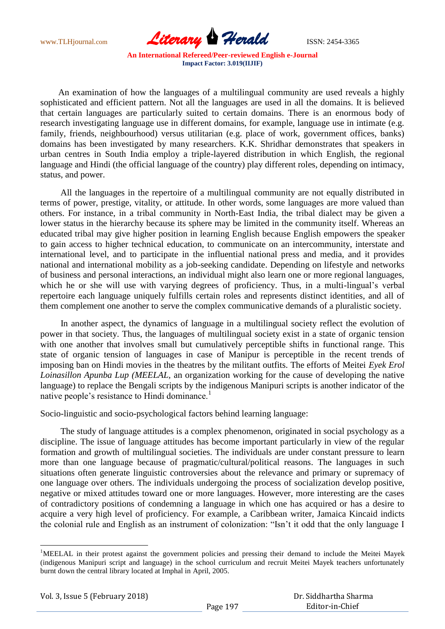

 An examination of how the languages of a multilingual community are used reveals a highly sophisticated and efficient pattern. Not all the languages are used in all the domains. It is believed that certain languages are particularly suited to certain domains. There is an enormous body of research investigating language use in different domains, for example, language use in intimate (e.g. family, friends, neighbourhood) versus utilitarian (e.g. place of work, government offices, banks) domains has been investigated by many researchers. K.K. Shridhar demonstrates that speakers in urban centres in South India employ a triple-layered distribution in which English, the regional language and Hindi (the official language of the country) play different roles, depending on intimacy, status, and power.

 All the languages in the repertoire of a multilingual community are not equally distributed in terms of power, prestige, vitality, or attitude. In other words, some languages are more valued than others. For instance, in a tribal community in North-East India, the tribal dialect may be given a lower status in the hierarchy because its sphere may be limited in the community itself. Whereas an educated tribal may give higher position in learning English because English empowers the speaker to gain access to higher technical education, to communicate on an intercommunity, interstate and international level, and to participate in the influential national press and media, and it provides national and international mobility as a job-seeking candidate. Depending on lifestyle and networks of business and personal interactions, an individual might also learn one or more regional languages, which he or she will use with varying degrees of proficiency. Thus, in a multi-lingual's verbal repertoire each language uniquely fulfills certain roles and represents distinct identities, and all of them complement one another to serve the complex communicative demands of a pluralistic society.

 In another aspect, the dynamics of language in a multilingual society reflect the evolution of power in that society. Thus, the languages of multilingual society exist in a state of organic tension with one another that involves small but cumulatively perceptible shifts in functional range. This state of organic tension of languages in case of Manipur is perceptible in the recent trends of imposing ban on Hindi movies in the theatres by the militant outfits. The efforts of Meitei *Eyek Erol Loinasillon Apunba Lup (MEELAL,* an organization working for the cause of developing the native language) to replace the Bengali scripts by the indigenous Manipuri scripts is another indicator of the native people's resistance to Hindi dominance.<sup>1</sup>

Socio-linguistic and socio-psychological factors behind learning language:

 The study of language attitudes is a complex phenomenon, originated in social psychology as a discipline. The issue of language attitudes has become important particularly in view of the regular formation and growth of multilingual societies. The individuals are under constant pressure to learn more than one language because of pragmatic/cultural/political reasons. The languages in such situations often generate linguistic controversies about the relevance and primary or supremacy of one language over others. The individuals undergoing the process of socialization develop positive, negative or mixed attitudes toward one or more languages. However, more interesting are the cases of contradictory positions of condemning a language in which one has acquired or has a desire to acquire a very high level of proficiency. For example, a Caribbean writer, Jamaica Kincaid indicts the colonial rule and English as an instrument of colonization: "Isn"t it odd that the only language I

 $\overline{a}$ 

<sup>&</sup>lt;sup>1</sup>MEELAL in their protest against the government policies and pressing their demand to include the Meitei Mayek (indigenous Manipuri script and language) in the school curriculum and recruit Meitei Mayek teachers unfortunately burnt down the central library located at Imphal in April, 2005.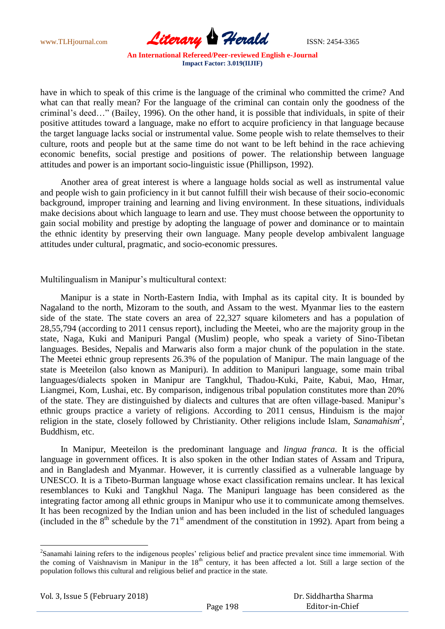

have in which to speak of this crime is the language of the criminal who committed the crime? And what can that really mean? For the language of the criminal can contain only the goodness of the criminal"s deed…" (Bailey, 1996). On the other hand, it is possible that individuals, in spite of their positive attitudes toward a language, make no effort to acquire proficiency in that language because the target language lacks social or instrumental value. Some people wish to relate themselves to their culture, roots and people but at the same time do not want to be left behind in the race achieving economic benefits, social prestige and positions of power. The relationship between language attitudes and power is an important socio-linguistic issue (Phillipson, 1992).

 Another area of great interest is where a language holds social as well as instrumental value and people wish to gain proficiency in it but cannot fulfill their wish because of their socio-economic background, improper training and learning and living environment. In these situations, individuals make decisions about which language to learn and use. They must choose between the opportunity to gain social mobility and prestige by adopting the language of power and dominance or to maintain the ethnic identity by preserving their own language. Many people develop ambivalent language attitudes under cultural, pragmatic, and socio-economic pressures.

Multilingualism in Manipur's multicultural context:

 Manipur is a state in North-Eastern India, with Imphal as its capital city. It is bounded by Nagaland to the north, Mizoram to the south, and Assam to the west. Myanmar lies to the eastern side of the state. The state covers an area of 22,327 square kilometers and has a population of 28,55,794 (according to 2011 census report), including the Meetei, who are the majority group in the state, Naga, Kuki and Manipuri Pangal (Muslim) people, who speak a variety of Sino-Tibetan languages. Besides, Nepalis and Marwaris also form a major chunk of the population in the state. The Meetei ethnic group represents 26.3% of the population of Manipur. The main language of the state is Meeteilon (also known as Manipuri). In addition to Manipuri language, some main tribal languages/dialects spoken in Manipur are Tangkhul, Thadou-Kuki, Paite, Kabui, Mao, Hmar, Liangmei, Kom, Lushai, etc. By comparison, indigenous tribal population constitutes more than 20% of the state. They are distinguished by dialects and cultures that are often village-based. Manipur"s ethnic groups practice a variety of religions. According to 2011 census, Hinduism is the major religion in the state, closely followed by Christianity. Other religions include Islam, Sanamahism<sup>2</sup>, Buddhism, etc.

 In Manipur, Meeteilon is the predominant language and *lingua franca*. It is the official language in government offices. It is also spoken in the other Indian states of Assam and Tripura, and in Bangladesh and Myanmar. However, it is currently classified as a vulnerable language by UNESCO. It is a Tibeto-Burman language whose exact classification remains unclear. It has lexical resemblances to Kuki and Tangkhul Naga. The Manipuri language has been considered as the integrating factor among all ethnic groups in Manipur who use it to communicate among themselves. It has been recognized by the Indian union and has been included in the list of scheduled languages (included in the  $8<sup>th</sup>$  schedule by the 71<sup>st</sup> amendment of the constitution in 1992). Apart from being a

Vol. 3, Issue 5 (February 2018)

 $\overline{a}$ 

<sup>&</sup>lt;sup>2</sup>Sanamahi laining refers to the indigenous peoples' religious belief and practice prevalent since time immemorial. With the coming of Vaishnavism in Manipur in the 18<sup>th</sup> century, it has been affected a lot. Still a large section of the population follows this cultural and religious belief and practice in the state.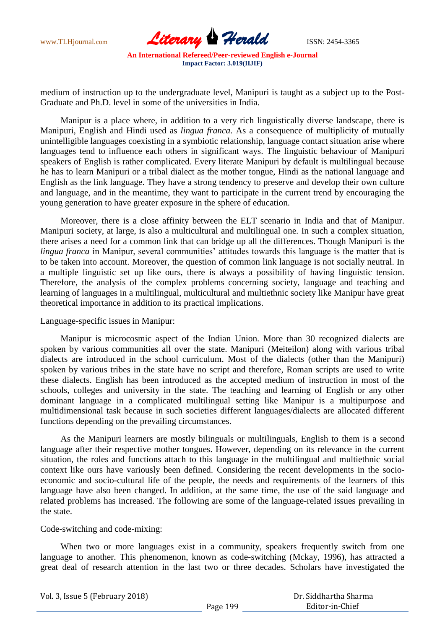

medium of instruction up to the undergraduate level, Manipuri is taught as a subject up to the Post-Graduate and Ph.D. level in some of the universities in India.

 Manipur is a place where, in addition to a very rich linguistically diverse landscape, there is Manipuri, English and Hindi used as *lingua franca*. As a consequence of multiplicity of mutually unintelligible languages coexisting in a symbiotic relationship, language contact situation arise where languages tend to influence each others in significant ways. The linguistic behaviour of Manipuri speakers of English is rather complicated. Every literate Manipuri by default is multilingual because he has to learn Manipuri or a tribal dialect as the mother tongue, Hindi as the national language and English as the link language. They have a strong tendency to preserve and develop their own culture and language, and in the meantime, they want to participate in the current trend by encouraging the young generation to have greater exposure in the sphere of education.

 Moreover, there is a close affinity between the ELT scenario in India and that of Manipur. Manipuri society, at large, is also a multicultural and multilingual one. In such a complex situation, there arises a need for a common link that can bridge up all the differences. Though Manipuri is the *lingua franca* in Manipur, several communities' attitudes towards this language is the matter that is to be taken into account. Moreover, the question of common link language is not socially neutral. In a multiple linguistic set up like ours, there is always a possibility of having linguistic tension. Therefore, the analysis of the complex problems concerning society, language and teaching and learning of languages in a multilingual, multicultural and multiethnic society like Manipur have great theoretical importance in addition to its practical implications.

## Language-specific issues in Manipur:

 Manipur is microcosmic aspect of the Indian Union. More than 30 recognized dialects are spoken by various communities all over the state. Manipuri (Meiteilon) along with various tribal dialects are introduced in the school curriculum. Most of the dialects (other than the Manipuri) spoken by various tribes in the state have no script and therefore, Roman scripts are used to write these dialects. English has been introduced as the accepted medium of instruction in most of the schools, colleges and university in the state. The teaching and learning of English or any other dominant language in a complicated multilingual setting like Manipur is a multipurpose and multidimensional task because in such societies different languages/dialects are allocated different functions depending on the prevailing circumstances.

 As the Manipuri learners are mostly bilinguals or multilinguals, English to them is a second language after their respective mother tongues. However, depending on its relevance in the current situation, the roles and functions attach to this language in the multilingual and multiethnic social context like ours have variously been defined. Considering the recent developments in the socioeconomic and socio-cultural life of the people, the needs and requirements of the learners of this language have also been changed. In addition, at the same time, the use of the said language and related problems has increased. The following are some of the language-related issues prevailing in the state.

#### Code-switching and code-mixing:

When two or more languages exist in a community, speakers frequently switch from one language to another. This phenomenon, known as code-switching (Mckay, 1996), has attracted a great deal of research attention in the last two or three decades. Scholars have investigated the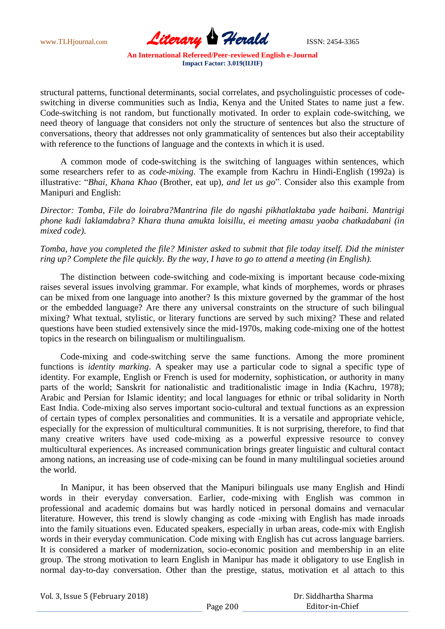

structural patterns, functional determinants, social correlates, and psycholinguistic processes of codeswitching in diverse communities such as India, Kenya and the United States to name just a few. Code-switching is not random, but functionally motivated. In order to explain code-switching, we need theory of language that considers not only the structure of sentences but also the structure of conversations, theory that addresses not only grammaticality of sentences but also their acceptability with reference to the functions of language and the contexts in which it is used.

 A common mode of code-switching is the switching of languages within sentences, which some researchers refer to as *code-mixing*. The example from Kachru in Hindi-English (1992a) is illustrative: "*Bhai, Khana Khao* (Brother, eat up), *and let us go*". Consider also this example from Manipuri and English:

*Director: Tomba, File do loirabra?Mantrina file do ngashi pikhatlaktaba yade haibani. Mantrigi phone kadi laklamdabra? Khara thuna amukta loisillu, ei meeting amasu yaoba chatkadabani (in mixed code)*.

*Tomba, have you completed the file? Minister asked to submit that file today itself. Did the minister ring up? Complete the file quickly. By the way, I have to go to attend a meeting (in English).*

 The distinction between code-switching and code-mixing is important because code-mixing raises several issues involving grammar. For example, what kinds of morphemes, words or phrases can be mixed from one language into another? Is this mixture governed by the grammar of the host or the embedded language? Are there any universal constraints on the structure of such bilingual mixing? What textual, stylistic, or literary functions are served by such mixing? These and related questions have been studied extensively since the mid-1970s, making code-mixing one of the hottest topics in the research on bilingualism or multilingualism.

 Code-mixing and code-switching serve the same functions. Among the more prominent functions is *identity marking*. A speaker may use a particular code to signal a specific type of identity. For example, English or French is used for modernity, sophistication, or authority in many parts of the world; Sanskrit for nationalistic and traditionalistic image in India (Kachru, 1978); Arabic and Persian for Islamic identity; and local languages for ethnic or tribal solidarity in North East India. Code-mixing also serves important socio-cultural and textual functions as an expression of certain types of complex personalities and communities. It is a versatile and appropriate vehicle, especially for the expression of multicultural communities. It is not surprising, therefore, to find that many creative writers have used code-mixing as a powerful expressive resource to convey multicultural experiences. As increased communication brings greater linguistic and cultural contact among nations, an increasing use of code-mixing can be found in many multilingual societies around the world.

 In Manipur, it has been observed that the Manipuri bilinguals use many English and Hindi words in their everyday conversation. Earlier, code-mixing with English was common in professional and academic domains but was hardly noticed in personal domains and vernacular literature. However, this trend is slowly changing as code -mixing with English has made inroads into the family situations even. Educated speakers, especially in urban areas, code-mix with English words in their everyday communication. Code mixing with English has cut across language barriers. It is considered a marker of modernization, socio-economic position and membership in an elite group. The strong motivation to learn English in Manipur has made it obligatory to use English in normal day-to-day conversation. Other than the prestige, status, motivation et al attach to this

Vol. 3, Issue 5 (February 2018)

 Dr. Siddhartha Sharma Editor-in-Chief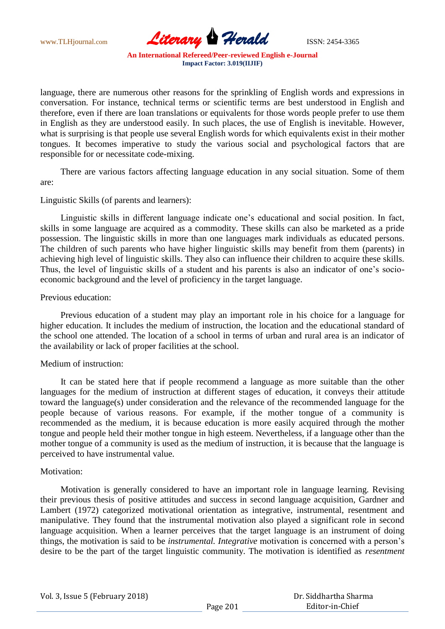

language, there are numerous other reasons for the sprinkling of English words and expressions in conversation. For instance, technical terms or scientific terms are best understood in English and therefore, even if there are loan translations or equivalents for those words people prefer to use them in English as they are understood easily. In such places, the use of English is inevitable. However, what is surprising is that people use several English words for which equivalents exist in their mother tongues. It becomes imperative to study the various social and psychological factors that are responsible for or necessitate code-mixing.

 There are various factors affecting language education in any social situation. Some of them are:

## Linguistic Skills (of parents and learners):

 Linguistic skills in different language indicate one"s educational and social position. In fact, skills in some language are acquired as a commodity. These skills can also be marketed as a pride possession. The linguistic skills in more than one languages mark individuals as educated persons. The children of such parents who have higher linguistic skills may benefit from them (parents) in achieving high level of linguistic skills. They also can influence their children to acquire these skills. Thus, the level of linguistic skills of a student and his parents is also an indicator of one"s socioeconomic background and the level of proficiency in the target language.

## Previous education:

 Previous education of a student may play an important role in his choice for a language for higher education. It includes the medium of instruction, the location and the educational standard of the school one attended. The location of a school in terms of urban and rural area is an indicator of the availability or lack of proper facilities at the school.

# Medium of instruction:

 It can be stated here that if people recommend a language as more suitable than the other languages for the medium of instruction at different stages of education, it conveys their attitude toward the language(s) under consideration and the relevance of the recommended language for the people because of various reasons. For example, if the mother tongue of a community is recommended as the medium, it is because education is more easily acquired through the mother tongue and people held their mother tongue in high esteem. Nevertheless, if a language other than the mother tongue of a community is used as the medium of instruction, it is because that the language is perceived to have instrumental value.

#### Motivation<sup>.</sup>

 Motivation is generally considered to have an important role in language learning. Revising their previous thesis of positive attitudes and success in second language acquisition, Gardner and Lambert (1972) categorized motivational orientation as integrative, instrumental, resentment and manipulative. They found that the instrumental motivation also played a significant role in second language acquisition. When a learner perceives that the target language is an instrument of doing things, the motivation is said to be *instrumental. Integrative* motivation is concerned with a person"s desire to be the part of the target linguistic community. The motivation is identified as *resentment*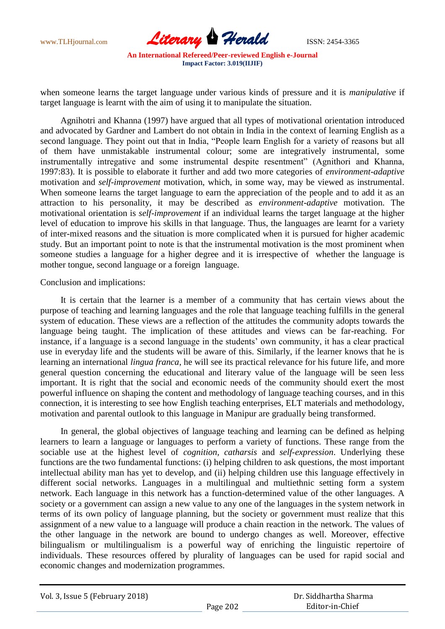

when someone learns the target language under various kinds of pressure and it is *manipulative* if target language is learnt with the aim of using it to manipulate the situation.

 Agnihotri and Khanna (1997) have argued that all types of motivational orientation introduced and advocated by Gardner and Lambert do not obtain in India in the context of learning English as a second language. They point out that in India, "People learn English for a variety of reasons but all of them have unmistakable instrumental colour; some are integratively instrumental, some instrumentally intregative and some instrumental despite resentment" (Agnithori and Khanna, 1997:83). It is possible to elaborate it further and add two more categories of *environment-adaptive* motivation and *self-improvement* motivation, which, in some way, may be viewed as instrumental. When someone learns the target language to earn the appreciation of the people and to add it as an attraction to his personality, it may be described as *environment-adaptive* motivation. The motivational orientation is *self-improvement* if an individual learns the target language at the higher level of education to improve his skills in that language. Thus, the languages are learnt for a variety of inter-mixed reasons and the situation is more complicated when it is pursued for higher academic study. But an important point to note is that the instrumental motivation is the most prominent when someone studies a language for a higher degree and it is irrespective of whether the language is mother tongue, second language or a foreign language.

## Conclusion and implications:

 It is certain that the learner is a member of a community that has certain views about the purpose of teaching and learning languages and the role that language teaching fulfills in the general system of education. These views are a reflection of the attitudes the community adopts towards the language being taught. The implication of these attitudes and views can be far-reaching. For instance, if a language is a second language in the students' own community, it has a clear practical use in everyday life and the students will be aware of this. Similarly, if the learner knows that he is learning an international *lingua franca*, he will see its practical relevance for his future life, and more general question concerning the educational and literary value of the language will be seen less important. It is right that the social and economic needs of the community should exert the most powerful influence on shaping the content and methodology of language teaching courses, and in this connection, it is interesting to see how English teaching enterprises, ELT materials and methodology, motivation and parental outlook to this language in Manipur are gradually being transformed.

 In general, the global objectives of language teaching and learning can be defined as helping learners to learn a language or languages to perform a variety of functions. These range from the sociable use at the highest level of *cognition, catharsis* and *self-expression*. Underlying these functions are the two fundamental functions: (i) helping children to ask questions, the most important intellectual ability man has yet to develop, and (ii) helping children use this language effectively in different social networks. Languages in a multilingual and multiethnic setting form a system network. Each language in this network has a function-determined value of the other languages. A society or a government can assign a new value to any one of the languages in the system network in terms of its own policy of language planning, but the society or government must realize that this assignment of a new value to a language will produce a chain reaction in the network. The values of the other language in the network are bound to undergo changes as well. Moreover, effective bilingualism or multilingualism is a powerful way of enriching the linguistic repertoire of individuals. These resources offered by plurality of languages can be used for rapid social and economic changes and modernization programmes.

| Vol. 3, Issue 5 (February 2018) |               |  |
|---------------------------------|---------------|--|
|                                 | $D - - - 200$ |  |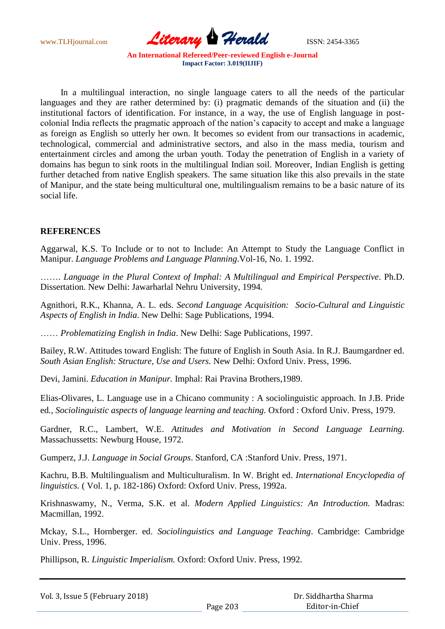

 In a multilingual interaction, no single language caters to all the needs of the particular languages and they are rather determined by: (i) pragmatic demands of the situation and (ii) the institutional factors of identification. For instance, in a way, the use of English language in postcolonial India reflects the pragmatic approach of the nation"s capacity to accept and make a language as foreign as English so utterly her own. It becomes so evident from our transactions in academic, technological, commercial and administrative sectors, and also in the mass media, tourism and entertainment circles and among the urban youth. Today the penetration of English in a variety of domains has begun to sink roots in the multilingual Indian soil. Moreover, Indian English is getting further detached from native English speakers. The same situation like this also prevails in the state of Manipur, and the state being multicultural one, multilingualism remains to be a basic nature of its social life.

## **REFERENCES**

Aggarwal, K.S. To Include or to not to Include: An Attempt to Study the Language Conflict in Manipur. *Language Problems and Language Planning*.Vol-16, No. 1. 1992.

……. *Language in the Plural Context of Imphal: A Multilingual and Empirical Perspective*. Ph.D. Dissertation. New Delhi: Jawarharlal Nehru University, 1994.

Agnithori, R.K., Khanna, A. L. eds. *Second Language Acquisition: Socio-Cultural and Linguistic Aspects of English in India*. New Delhi: Sage Publications, 1994.

…… *Problematizing English in India*. New Delhi: Sage Publications, 1997.

Bailey, R.W. Attitudes toward English: The future of English in South Asia. In R.J. Baumgardner ed. *South Asian English: Structure, Use and Users.* New Delhi: Oxford Univ. Press, 1996.

Devi, Jamini. *Education in Manipur.* Imphal: Rai Pravina Brothers,1989.

Elias-Olivares, L. Language use in a Chicano community : A sociolinguistic approach. In J.B. Pride ed*., Sociolinguistic aspects of language learning and teaching.* Oxford : Oxford Univ. Press, 1979.

Gardner, R.C., Lambert, W.E. *Attitudes and Motivation in Second Language Learning.* Massachussetts: Newburg House, 1972.

Gumperz, J.J. *Language in Social Groups*. Stanford, CA :Stanford Univ. Press, 1971.

Kachru, B.B. Multilingualism and Multiculturalism. In W. Bright ed. *International Encyclopedia of linguistics.* ( Vol. 1, p. 182-186) Oxford: Oxford Univ. Press, 1992a.

Krishnaswamy, N., Verma, S.K. et al. *Modern Applied Linguistics: An Introduction.* Madras: Macmillan, 1992.

Mckay, S.L., Hornberger. ed. *Sociolinguistics and Language Teaching*. Cambridge: Cambridge Univ. Press, 1996.

Phillipson, R. *Linguistic Imperialism.* Oxford: Oxford Univ. Press, 1992.

Vol. 3, Issue 5 (February 2018)

 Dr. Siddhartha Sharma Editor-in-Chief